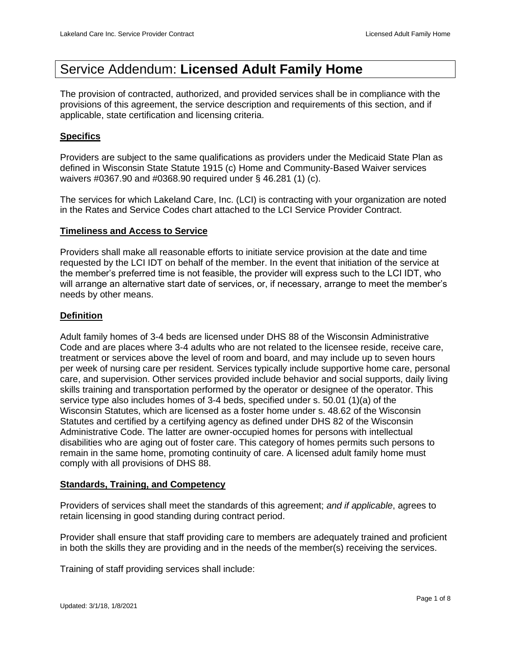# Service Addendum: **Licensed Adult Family Home**

The provision of contracted, authorized, and provided services shall be in compliance with the provisions of this agreement, the service description and requirements of this section, and if applicable, state certification and licensing criteria.

#### **Specifics**

Providers are subject to the same qualifications as providers under the Medicaid State Plan as defined in Wisconsin State Statute 1915 (c) Home and Community-Based Waiver services waivers #0367.90 and #0368.90 required under § 46.281 (1) (c).

The services for which Lakeland Care, Inc. (LCI) is contracting with your organization are noted in the Rates and Service Codes chart attached to the LCI Service Provider Contract.

#### **Timeliness and Access to Service**

Providers shall make all reasonable efforts to initiate service provision at the date and time requested by the LCI IDT on behalf of the member. In the event that initiation of the service at the member's preferred time is not feasible, the provider will express such to the LCI IDT, who will arrange an alternative start date of services, or, if necessary, arrange to meet the member's needs by other means.

#### **Definition**

Adult family homes of 3-4 beds are licensed under DHS 88 of the Wisconsin Administrative Code and are places where 3-4 adults who are not related to the licensee reside, receive care, treatment or services above the level of room and board, and may include up to seven hours per week of nursing care per resident. Services typically include supportive home care, personal care, and supervision. Other services provided include behavior and social supports, daily living skills training and transportation performed by the operator or designee of the operator. This service type also includes homes of 3-4 beds, specified under s. 50.01 (1)(a) of the Wisconsin Statutes, which are licensed as a foster home under s. 48.62 of the Wisconsin Statutes and certified by a certifying agency as defined under DHS 82 of the Wisconsin Administrative Code. The latter are owner-occupied homes for persons with intellectual disabilities who are aging out of foster care. This category of homes permits such persons to remain in the same home, promoting continuity of care. A licensed adult family home must comply with all provisions of DHS 88.

#### **Standards, Training, and Competency**

Providers of services shall meet the standards of this agreement; *and if applicable*, agrees to retain licensing in good standing during contract period.

Provider shall ensure that staff providing care to members are adequately trained and proficient in both the skills they are providing and in the needs of the member(s) receiving the services.

Training of staff providing services shall include: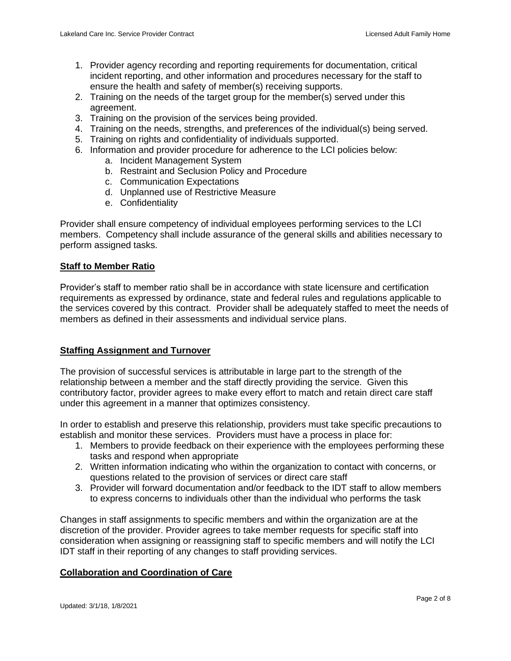- 1. Provider agency recording and reporting requirements for documentation, critical incident reporting, and other information and procedures necessary for the staff to ensure the health and safety of member(s) receiving supports.
- 2. Training on the needs of the target group for the member(s) served under this agreement.
- 3. Training on the provision of the services being provided.
- 4. Training on the needs, strengths, and preferences of the individual(s) being served.
- 5. Training on rights and confidentiality of individuals supported.
- 6. Information and provider procedure for adherence to the LCI policies below:
	- a. Incident Management System
	- b. Restraint and Seclusion Policy and Procedure
	- c. Communication Expectations
	- d. Unplanned use of Restrictive Measure
	- e. Confidentiality

Provider shall ensure competency of individual employees performing services to the LCI members. Competency shall include assurance of the general skills and abilities necessary to perform assigned tasks.

## **Staff to Member Ratio**

Provider's staff to member ratio shall be in accordance with state licensure and certification requirements as expressed by ordinance, state and federal rules and regulations applicable to the services covered by this contract. Provider shall be adequately staffed to meet the needs of members as defined in their assessments and individual service plans.

## **Staffing Assignment and Turnover**

The provision of successful services is attributable in large part to the strength of the relationship between a member and the staff directly providing the service. Given this contributory factor, provider agrees to make every effort to match and retain direct care staff under this agreement in a manner that optimizes consistency.

In order to establish and preserve this relationship, providers must take specific precautions to establish and monitor these services. Providers must have a process in place for:

- 1. Members to provide feedback on their experience with the employees performing these tasks and respond when appropriate
- 2. Written information indicating who within the organization to contact with concerns, or questions related to the provision of services or direct care staff
- 3. Provider will forward documentation and/or feedback to the IDT staff to allow members to express concerns to individuals other than the individual who performs the task

Changes in staff assignments to specific members and within the organization are at the discretion of the provider. Provider agrees to take member requests for specific staff into consideration when assigning or reassigning staff to specific members and will notify the LCI IDT staff in their reporting of any changes to staff providing services.

## **Collaboration and Coordination of Care**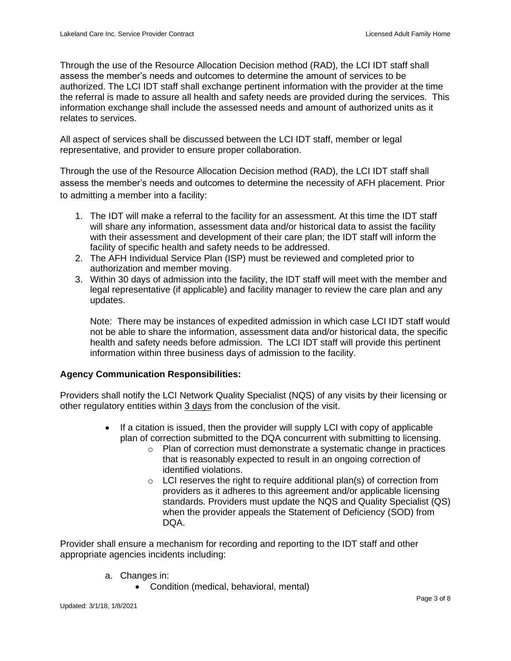Through the use of the Resource Allocation Decision method (RAD), the LCI IDT staff shall assess the member's needs and outcomes to determine the amount of services to be authorized. The LCI IDT staff shall exchange pertinent information with the provider at the time the referral is made to assure all health and safety needs are provided during the services. This information exchange shall include the assessed needs and amount of authorized units as it relates to services.

All aspect of services shall be discussed between the LCI IDT staff, member or legal representative, and provider to ensure proper collaboration.

Through the use of the Resource Allocation Decision method (RAD), the LCI IDT staff shall assess the member's needs and outcomes to determine the necessity of AFH placement. Prior to admitting a member into a facility:

- 1. The IDT will make a referral to the facility for an assessment. At this time the IDT staff will share any information, assessment data and/or historical data to assist the facility with their assessment and development of their care plan; the IDT staff will inform the facility of specific health and safety needs to be addressed.
- 2. The AFH Individual Service Plan (ISP) must be reviewed and completed prior to authorization and member moving.
- 3. Within 30 days of admission into the facility, the IDT staff will meet with the member and legal representative (if applicable) and facility manager to review the care plan and any updates.

Note: There may be instances of expedited admission in which case LCI IDT staff would not be able to share the information, assessment data and/or historical data, the specific health and safety needs before admission. The LCI IDT staff will provide this pertinent information within three business days of admission to the facility.

## **Agency Communication Responsibilities:**

Providers shall notify the LCI Network Quality Specialist (NQS) of any visits by their licensing or other regulatory entities within 3 days from the conclusion of the visit.

- If a citation is issued, then the provider will supply LCI with copy of applicable plan of correction submitted to the DQA concurrent with submitting to licensing.
	- o Plan of correction must demonstrate a systematic change in practices that is reasonably expected to result in an ongoing correction of identified violations.
	- $\circ$  LCI reserves the right to require additional plan(s) of correction from providers as it adheres to this agreement and/or applicable licensing standards. Providers must update the NQS and Quality Specialist (QS) when the provider appeals the Statement of Deficiency (SOD) from DQA.

Provider shall ensure a mechanism for recording and reporting to the IDT staff and other appropriate agencies incidents including:

- a. Changes in:
	- Condition (medical, behavioral, mental)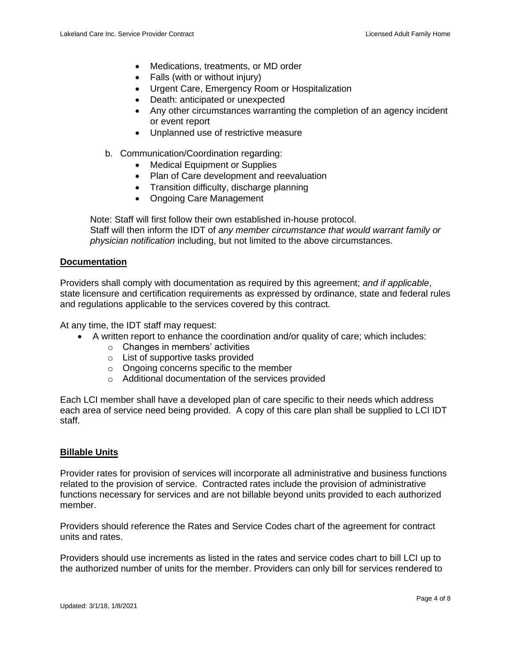- Medications, treatments, or MD order
- Falls (with or without injury)
- Urgent Care, Emergency Room or Hospitalization
- Death: anticipated or unexpected
- Any other circumstances warranting the completion of an agency incident or event report
- Unplanned use of restrictive measure
- b. Communication/Coordination regarding:
	- Medical Equipment or Supplies
	- Plan of Care development and reevaluation
	- Transition difficulty, discharge planning
	- Ongoing Care Management

Note: Staff will first follow their own established in-house protocol. Staff will then inform the IDT of *any member circumstance that would warrant family or physician notification* including, but not limited to the above circumstances.

#### **Documentation**

Providers shall comply with documentation as required by this agreement; *and if applicable*, state licensure and certification requirements as expressed by ordinance, state and federal rules and regulations applicable to the services covered by this contract.

At any time, the IDT staff may request:

- A written report to enhance the coordination and/or quality of care; which includes:
	- o Changes in members' activities
	- o List of supportive tasks provided
	- o Ongoing concerns specific to the member
	- o Additional documentation of the services provided

Each LCI member shall have a developed plan of care specific to their needs which address each area of service need being provided. A copy of this care plan shall be supplied to LCI IDT staff.

#### **Billable Units**

Provider rates for provision of services will incorporate all administrative and business functions related to the provision of service. Contracted rates include the provision of administrative functions necessary for services and are not billable beyond units provided to each authorized member.

Providers should reference the Rates and Service Codes chart of the agreement for contract units and rates.

Providers should use increments as listed in the rates and service codes chart to bill LCI up to the authorized number of units for the member. Providers can only bill for services rendered to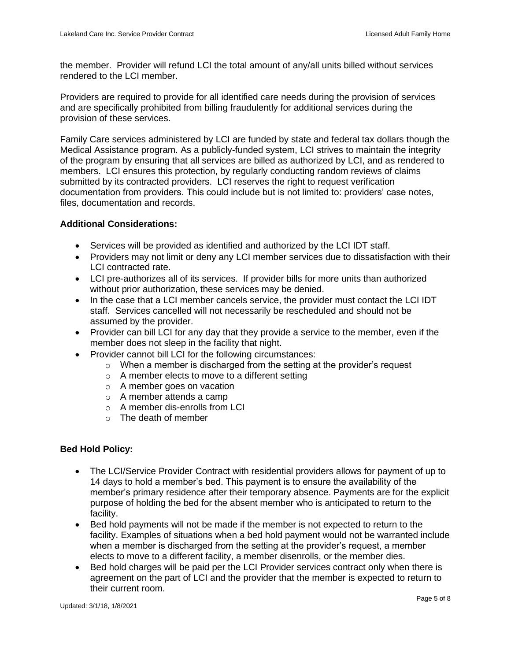the member. Provider will refund LCI the total amount of any/all units billed without services rendered to the LCI member.

Providers are required to provide for all identified care needs during the provision of services and are specifically prohibited from billing fraudulently for additional services during the provision of these services.

Family Care services administered by LCI are funded by state and federal tax dollars though the Medical Assistance program. As a publicly-funded system, LCI strives to maintain the integrity of the program by ensuring that all services are billed as authorized by LCI, and as rendered to members. LCI ensures this protection, by regularly conducting random reviews of claims submitted by its contracted providers. LCI reserves the right to request verification documentation from providers. This could include but is not limited to: providers' case notes, files, documentation and records.

## **Additional Considerations:**

- Services will be provided as identified and authorized by the LCI IDT staff.
- Providers may not limit or deny any LCI member services due to dissatisfaction with their LCI contracted rate.
- LCI pre-authorizes all of its services. If provider bills for more units than authorized without prior authorization, these services may be denied.
- In the case that a LCI member cancels service, the provider must contact the LCI IDT staff. Services cancelled will not necessarily be rescheduled and should not be assumed by the provider.
- Provider can bill LCI for any day that they provide a service to the member, even if the member does not sleep in the facility that night.
- Provider cannot bill LCI for the following circumstances:
	- $\circ$  When a member is discharged from the setting at the provider's request
	- o A member elects to move to a different setting
	- o A member goes on vacation
	- o A member attends a camp
	- o A member dis-enrolls from LCI
	- $\circ$  The death of member

## **Bed Hold Policy:**

- The LCI/Service Provider Contract with residential providers allows for payment of up to 14 days to hold a member's bed. This payment is to ensure the availability of the member's primary residence after their temporary absence. Payments are for the explicit purpose of holding the bed for the absent member who is anticipated to return to the facility.
- Bed hold payments will not be made if the member is not expected to return to the facility. Examples of situations when a bed hold payment would not be warranted include when a member is discharged from the setting at the provider's request, a member elects to move to a different facility, a member disenrolls, or the member dies.
- Bed hold charges will be paid per the LCI Provider services contract only when there is agreement on the part of LCI and the provider that the member is expected to return to their current room.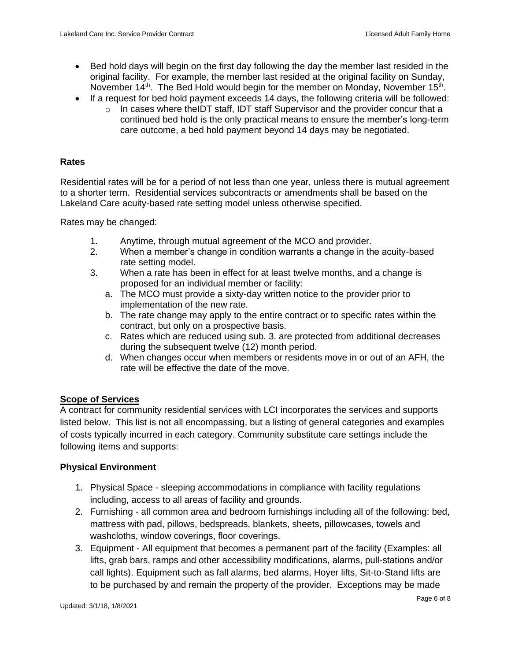- Bed hold days will begin on the first day following the day the member last resided in the original facility. For example, the member last resided at the original facility on Sunday, November 14<sup>th</sup>. The Bed Hold would begin for the member on Monday, November 15<sup>th</sup>.
- If a request for bed hold payment exceeds 14 days, the following criteria will be followed:
	- $\circ$  In cases where theIDT staff, IDT staff Supervisor and the provider concur that a continued bed hold is the only practical means to ensure the member's long-term care outcome, a bed hold payment beyond 14 days may be negotiated.

### **Rates**

Residential rates will be for a period of not less than one year, unless there is mutual agreement to a shorter term. Residential services subcontracts or amendments shall be based on the Lakeland Care acuity-based rate setting model unless otherwise specified.

Rates may be changed:

- 1. Anytime, through mutual agreement of the MCO and provider.
- 2. When a member's change in condition warrants a change in the acuity-based rate setting model.
- 3. When a rate has been in effect for at least twelve months, and a change is proposed for an individual member or facility:
	- a. The MCO must provide a sixty-day written notice to the provider prior to implementation of the new rate.
	- b. The rate change may apply to the entire contract or to specific rates within the contract, but only on a prospective basis.
	- c. Rates which are reduced using sub. 3. are protected from additional decreases during the subsequent twelve (12) month period.
	- d. When changes occur when members or residents move in or out of an AFH, the rate will be effective the date of the move.

## **Scope of Services**

A contract for community residential services with LCI incorporates the services and supports listed below. This list is not all encompassing, but a listing of general categories and examples of costs typically incurred in each category. Community substitute care settings include the following items and supports:

## **Physical Environment**

- 1. Physical Space sleeping accommodations in compliance with facility regulations including, access to all areas of facility and grounds.
- 2. Furnishing all common area and bedroom furnishings including all of the following: bed, mattress with pad, pillows, bedspreads, blankets, sheets, pillowcases, towels and washcloths, window coverings, floor coverings.
- 3. Equipment All equipment that becomes a permanent part of the facility (Examples: all lifts, grab bars, ramps and other accessibility modifications, alarms, pull-stations and/or call lights). Equipment such as fall alarms, bed alarms, Hoyer lifts, Sit-to-Stand lifts are to be purchased by and remain the property of the provider. Exceptions may be made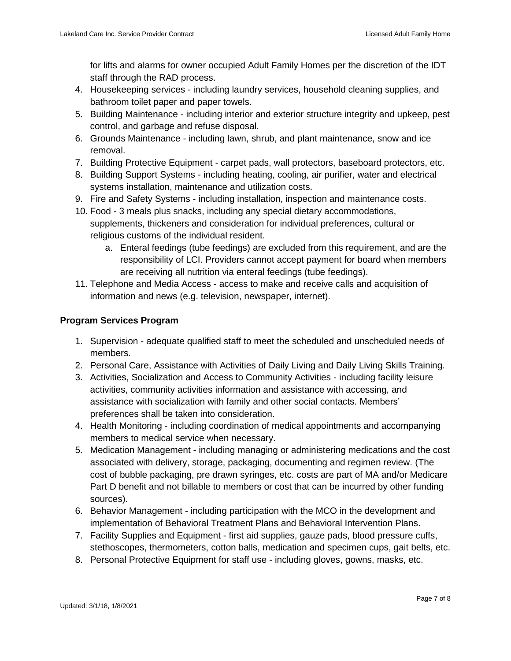for lifts and alarms for owner occupied Adult Family Homes per the discretion of the IDT staff through the RAD process.

- 4. Housekeeping services including laundry services, household cleaning supplies, and bathroom toilet paper and paper towels.
- 5. Building Maintenance including interior and exterior structure integrity and upkeep, pest control, and garbage and refuse disposal.
- 6. Grounds Maintenance including lawn, shrub, and plant maintenance, snow and ice removal.
- 7. Building Protective Equipment carpet pads, wall protectors, baseboard protectors, etc.
- 8. Building Support Systems including heating, cooling, air purifier, water and electrical systems installation, maintenance and utilization costs.
- 9. Fire and Safety Systems including installation, inspection and maintenance costs.
- 10. Food 3 meals plus snacks, including any special dietary accommodations, supplements, thickeners and consideration for individual preferences, cultural or religious customs of the individual resident.
	- a. Enteral feedings (tube feedings) are excluded from this requirement, and are the responsibility of LCI. Providers cannot accept payment for board when members are receiving all nutrition via enteral feedings (tube feedings).
- 11. Telephone and Media Access access to make and receive calls and acquisition of information and news (e.g. television, newspaper, internet).

# **Program Services Program**

- 1. Supervision adequate qualified staff to meet the scheduled and unscheduled needs of members.
- 2. Personal Care, Assistance with Activities of Daily Living and Daily Living Skills Training.
- 3. Activities, Socialization and Access to Community Activities including facility leisure activities, community activities information and assistance with accessing, and assistance with socialization with family and other social contacts. Members' preferences shall be taken into consideration.
- 4. Health Monitoring including coordination of medical appointments and accompanying members to medical service when necessary.
- 5. Medication Management including managing or administering medications and the cost associated with delivery, storage, packaging, documenting and regimen review. (The cost of bubble packaging, pre drawn syringes, etc. costs are part of MA and/or Medicare Part D benefit and not billable to members or cost that can be incurred by other funding sources).
- 6. Behavior Management including participation with the MCO in the development and implementation of Behavioral Treatment Plans and Behavioral Intervention Plans.
- 7. Facility Supplies and Equipment first aid supplies, gauze pads, blood pressure cuffs, stethoscopes, thermometers, cotton balls, medication and specimen cups, gait belts, etc.
- 8. Personal Protective Equipment for staff use including gloves, gowns, masks, etc.